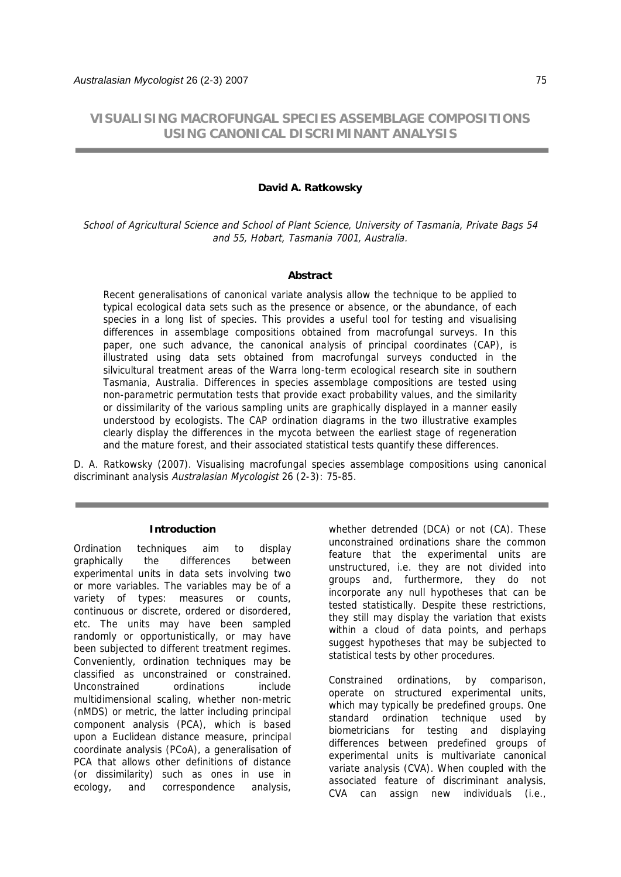# **VISUALISING MACROFUNGAL SPECIES ASSEMBLAGE COMPOSITIONS USING CANONICAL DISCRIMINANT ANALYSIS**

# **David A. Ratkowsky**

School of Agricultural Science and School of Plant Science, University of Tasmania, Private Bags 54 and 55, Hobart, Tasmania 7001, Australia.

## **Abstract**

Recent generalisations of canonical variate analysis allow the technique to be applied to typical ecological data sets such as the presence or absence, or the abundance, of each species in a long list of species. This provides a useful tool for testing and visualising differences in assemblage compositions obtained from macrofungal surveys. In this paper, one such advance, the canonical analysis of principal coordinates (CAP), is illustrated using data sets obtained from macrofungal surveys conducted in the silvicultural treatment areas of the Warra long-term ecological research site in southern Tasmania, Australia. Differences in species assemblage compositions are tested using non-parametric permutation tests that provide exact probability values, and the similarity or dissimilarity of the various sampling units are graphically displayed in a manner easily understood by ecologists. The CAP ordination diagrams in the two illustrative examples clearly display the differences in the mycota between the earliest stage of regeneration and the mature forest, and their associated statistical tests quantify these differences.

D. A. Ratkowsky (2007). Visualising macrofungal species assemblage compositions using canonical discriminant analysis Australasian Mycologist 26 (2-3): 75-85.

#### **Introduction**

Ordination techniques aim to display graphically the differences between experimental units in data sets involving two or more variables. The variables may be of a variety of types: measures or counts, continuous or discrete, ordered or disordered, etc. The units may have been sampled randomly or opportunistically, or may have been subjected to different treatment regimes. Conveniently, ordination techniques may be classified as unconstrained or constrained. Unconstrained ordinations include multidimensional scaling, whether non-metric (nMDS) or metric, the latter including principal component analysis (PCA), which is based upon a Euclidean distance measure, principal coordinate analysis (PCoA), a generalisation of PCA that allows other definitions of distance (or dissimilarity) such as ones in use in ecology, and correspondence analysis,

whether detrended (DCA) or not (CA). These unconstrained ordinations share the common feature that the experimental units are unstructured, i.e. they are not divided into groups and, furthermore, they do not incorporate any null hypotheses that can be tested statistically. Despite these restrictions, they still may display the variation that exists within a cloud of data points, and perhaps suggest hypotheses that may be subjected to statistical tests by other procedures.

Constrained ordinations, by comparison, operate on structured experimental units, which may typically be predefined groups. One standard ordination technique used by biometricians for testing and displaying differences between predefined groups of experimental units is multivariate canonical variate analysis (CVA). When coupled with the associated feature of discriminant analysis, CVA can assign new individuals (i.e.,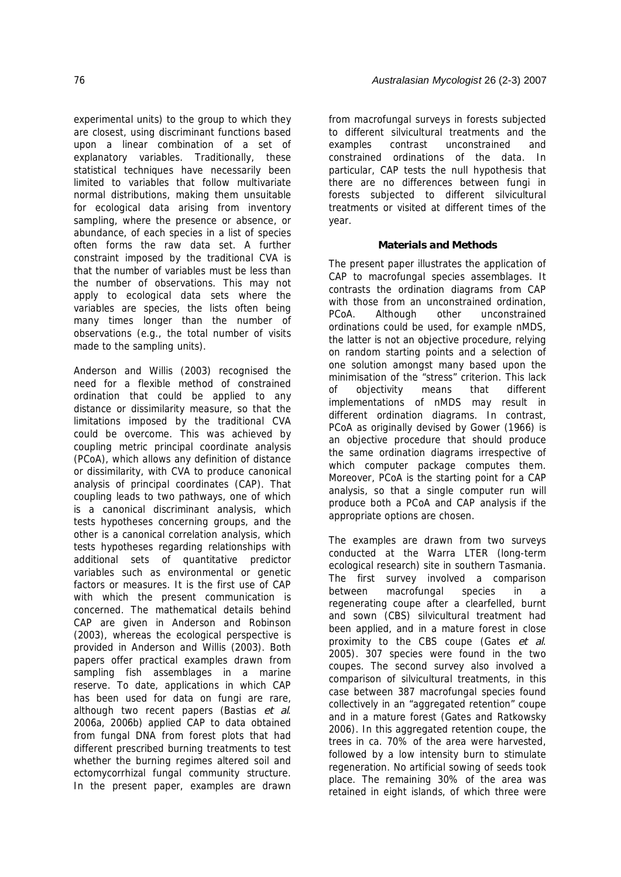experimental units) to the group to which they are closest, using discriminant functions based upon a linear combination of a set of explanatory variables. Traditionally, these statistical techniques have necessarily been limited to variables that follow multivariate normal distributions, making them unsuitable for ecological data arising from inventory sampling, where the presence or absence, or abundance, of each species in a list of species often forms the raw data set. A further constraint imposed by the traditional CVA is that the number of variables must be less than the number of observations. This may not apply to ecological data sets where the variables are species, the lists often being many times longer than the number of observations (e.g., the total number of visits made to the sampling units).

Anderson and Willis (2003) recognised the need for a flexible method of constrained ordination that could be applied to any distance or dissimilarity measure, so that the limitations imposed by the traditional CVA could be overcome. This was achieved by coupling metric principal coordinate analysis (PCoA), which allows any definition of distance or dissimilarity, with CVA to produce canonical analysis of principal coordinates (CAP). That coupling leads to two pathways, one of which is a canonical discriminant analysis, which tests hypotheses concerning groups, and the other is a canonical correlation analysis, which tests hypotheses regarding relationships with additional sets of quantitative predictor variables such as environmental or genetic factors or measures. It is the first use of CAP with which the present communication is concerned. The mathematical details behind CAP are given in Anderson and Robinson (2003), whereas the ecological perspective is provided in Anderson and Willis (2003). Both papers offer practical examples drawn from sampling fish assemblages in a marine reserve. To date, applications in which CAP has been used for data on fungi are rare, although two recent papers (Bastias et al. 2006a, 2006b) applied CAP to data obtained from fungal DNA from forest plots that had different prescribed burning treatments to test whether the burning regimes altered soil and ectomycorrhizal fungal community structure. In the present paper, examples are drawn

from macrofungal surveys in forests subjected to different silvicultural treatments and the examples contrast unconstrained and constrained ordinations of the data. In particular, CAP tests the null hypothesis that there are no differences between fungi in forests subjected to different silvicultural treatments or visited at different times of the year.

# **Materials and Methods**

The present paper illustrates the application of CAP to macrofungal species assemblages. It contrasts the ordination diagrams from CAP with those from an unconstrained ordination. PCoA. Although other unconstrained ordinations could be used, for example nMDS, the latter is not an objective procedure, relying on random starting points and a selection of one solution amongst many based upon the minimisation of the "stress" criterion. This lack of objectivity means that different implementations of nMDS may result in different ordination diagrams. In contrast, PCoA as originally devised by Gower (1966) is an objective procedure that should produce the same ordination diagrams irrespective of which computer package computes them. Moreover, PCoA is the starting point for a CAP analysis, so that a single computer run will produce both a PCoA and CAP analysis if the appropriate options are chosen.

The examples are drawn from two surveys conducted at the Warra LTER (long-term ecological research) site in southern Tasmania. The first survey involved a comparison between macrofungal species in a regenerating coupe after a clearfelled, burnt and sown (CBS) silvicultural treatment had been applied, and in a mature forest in close proximity to the CBS coupe (Gates et al. 2005). 307 species were found in the two coupes. The second survey also involved a comparison of silvicultural treatments, in this case between 387 macrofungal species found collectively in an "aggregated retention" coupe and in a mature forest (Gates and Ratkowsky 2006). In this aggregated retention coupe, the trees in ca. 70% of the area were harvested, followed by a low intensity burn to stimulate regeneration. No artificial sowing of seeds took place. The remaining 30% of the area was retained in eight islands, of which three were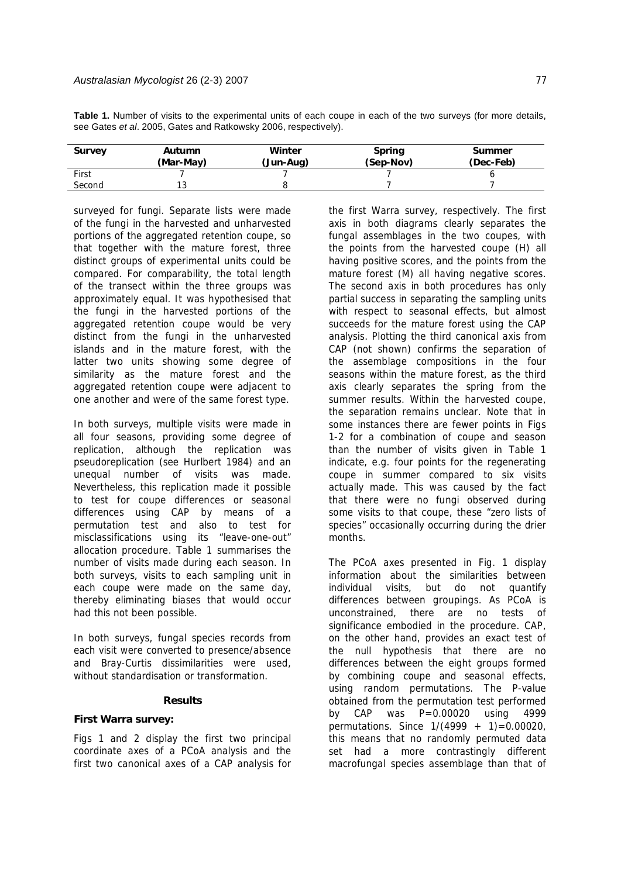| Survey                                                          | Autumn | Winter | <b>Spring</b> | <b>Summer</b> |  |  |  |  |
|-----------------------------------------------------------------|--------|--------|---------------|---------------|--|--|--|--|
|                                                                 |        |        |               |               |  |  |  |  |
| see Gates et al. 2005, Gates and Ratkowsky 2006, respectively). |        |        |               |               |  |  |  |  |

**Table 1.** Number of visits to the experimental units of each coupe in each of the two surveys (for more details,

| Survey | Autumn<br>(Mar-May) | Winter<br>(Jun-Aug) | <b>Spring</b><br>(Sep-Nov) | <b>Summer</b><br>(Dec-Feb) |
|--------|---------------------|---------------------|----------------------------|----------------------------|
| First  |                     |                     |                            |                            |
| Second |                     |                     |                            |                            |

surveyed for fungi. Separate lists were made of the fungi in the harvested and unharvested portions of the aggregated retention coupe, so that together with the mature forest, three distinct groups of experimental units could be compared. For comparability, the total length of the transect within the three groups was approximately equal. It was hypothesised that the fungi in the harvested portions of the aggregated retention coupe would be very distinct from the fungi in the unharvested islands and in the mature forest, with the latter two units showing some degree of similarity as the mature forest and the aggregated retention coupe were adjacent to one another and were of the same forest type.

In both surveys, multiple visits were made in all four seasons, providing some degree of replication, although the replication was pseudoreplication (see Hurlbert 1984) and an unequal number of visits was made. Nevertheless, this replication made it possible to test for coupe differences or seasonal differences using CAP by means of a permutation test and also to test for misclassifications using its "leave-one-out" allocation procedure. Table 1 summarises the number of visits made during each season. In both surveys, visits to each sampling unit in each coupe were made on the same day, thereby eliminating biases that would occur had this not been possible.

In both surveys, fungal species records from each visit were converted to presence/absence and Bray-Curtis dissimilarities were used, without standardisation or transformation.

# **Results**

## **First Warra survey:**

Figs 1 and 2 display the first two principal coordinate axes of a PCoA analysis and the first two canonical axes of a CAP analysis for

the first Warra survey, respectively. The first axis in both diagrams clearly separates the fungal assemblages in the two coupes, with the points from the harvested coupe (H) all having positive scores, and the points from the mature forest (M) all having negative scores. The second axis in both procedures has only partial success in separating the sampling units with respect to seasonal effects, but almost succeeds for the mature forest using the CAP analysis. Plotting the third canonical axis from CAP (not shown) confirms the separation of the assemblage compositions in the four seasons within the mature forest, as the third axis clearly separates the spring from the summer results. Within the harvested coupe, the separation remains unclear. Note that in some instances there are fewer points in Figs 1-2 for a combination of coupe and season than the number of visits given in Table 1 indicate, e.g. four points for the regenerating coupe in summer compared to six visits actually made. This was caused by the fact that there were no fungi observed during some visits to that coupe, these "zero lists of species" occasionally occurring during the drier months.

The PCoA axes presented in Fig. 1 display information about the similarities between individual visits, but do not quantify differences between groupings. As PCoA is unconstrained, there are no tests of significance embodied in the procedure. CAP, on the other hand, provides an exact test of the null hypothesis that there are no differences between the eight groups formed by combining coupe and seasonal effects, using random permutations. The P-value obtained from the permutation test performed by CAP was P=0.00020 using 4999 permutations. Since  $1/(4999 + 1) = 0.00020$ , this means that no randomly permuted data set had a more contrastingly different macrofungal species assemblage than that of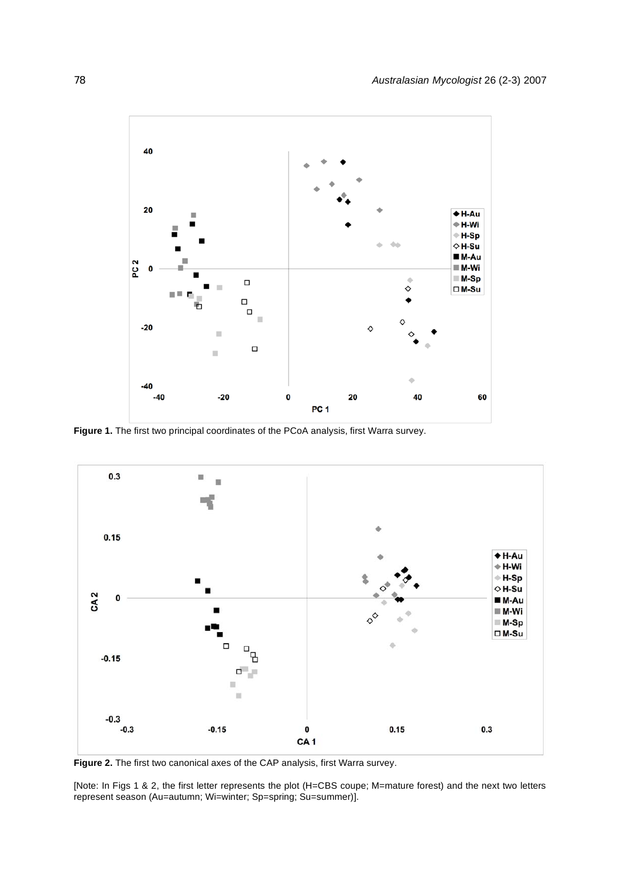

**Figure 1.** The first two principal coordinates of the PCoA analysis, first Warra survey.



**Figure 2.** The first two canonical axes of the CAP analysis, first Warra survey.

[Note: In Figs 1 & 2, the first letter represents the plot (H=CBS coupe; M=mature forest) and the next two letters represent season (Au=autumn; Wi=winter; Sp=spring; Su=summer)].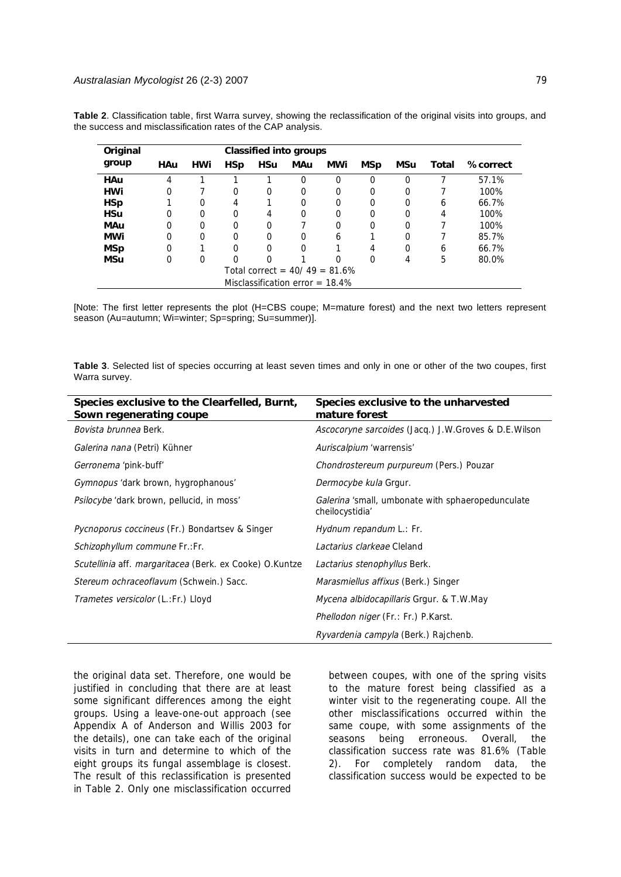| Original   | Classified into groups             |            |            |            |     |          |            |          |       |          |
|------------|------------------------------------|------------|------------|------------|-----|----------|------------|----------|-------|----------|
| group      | HAu                                | <b>HWi</b> | <b>HSp</b> | <b>HSu</b> | MAu | MWi      | <b>MSp</b> | MSu      | Total | %correct |
| <b>HAu</b> | 4                                  |            |            |            | 0   | 0        | $\Omega$   | $\Omega$ |       | 57.1%    |
| <b>HWi</b> | 0                                  |            | 0          | 0          | 0   | 0        | 0          | $\Omega$ |       | 100%     |
| <b>HSp</b> |                                    | 0          | 4          |            | 0   | $\Omega$ | 0          | $\Omega$ | 6     | 66.7%    |
| <b>HSu</b> | $\Omega$                           | 0          | 0          | 4          | 0   | 0        | 0          | 0        | 4     | 100%     |
| <b>MAu</b> | $\Omega$                           | $\Omega$   | $\Omega$   | $\Omega$   |     | 0        | 0          | $\Omega$ |       | 100%     |
| MWi        | $\Omega$                           | $\Omega$   | 0          | $\Omega$   | 0   | 6        |            | 0        |       | 85.7%    |
| <b>MSp</b> | $\Omega$                           |            | 0          | $\Omega$   | 0   |          | 4          | 0        | 6     | 66.7%    |
| MSu        | $\Omega$                           | 0          | 0          | 0          |     | 0        | 0          | 4        | 5     | 80.0%    |
|            | Total correct = $40/49 = 81.6\%$   |            |            |            |     |          |            |          |       |          |
|            | Misclassification error = $18.4\%$ |            |            |            |     |          |            |          |       |          |

**Table 2**. Classification table, first Warra survey, showing the reclassification of the original visits into groups, and the success and misclassification rates of the CAP analysis.

[Note: The first letter represents the plot (H=CBS coupe; M=mature forest) and the next two letters represent season (Au=autumn; Wi=winter; Sp=spring; Su=summer)].

**Table 3**. Selected list of species occurring at least seven times and only in one or other of the two coupes, first Warra survey.

| Species exclusive to the Clearfelled, Burnt,<br>Sown regenerating coupe | Species exclusive to the unharvested<br>mature forest                |
|-------------------------------------------------------------------------|----------------------------------------------------------------------|
| <i>Bovista brunnea</i> Berk.                                            | Ascocoryne sarcoides (Jacq.) J.W.Groves & D.E.Wilson                 |
| Galerina nana (Petri) Kühner                                            | Auriscalpium 'warrensis'                                             |
| Gerronema 'pink-buff'                                                   | Chondrostereum purpureum (Pers.) Pouzar                              |
| Gymnopus 'dark brown, hygrophanous'                                     | Dermocybe kula Grgur.                                                |
| <i>Psilocybe</i> 'dark brown, pellucid, in moss'                        | Galerina 'small, umbonate with sphaeropedunculate<br>cheilocystidia' |
| Pycnoporus coccineus (Fr.) Bondartsev & Singer                          | Hydnum repandum L.: Fr.                                              |
| Schizophyllum commune Fr.:Fr.                                           | Lactarius clarkeae Cleland                                           |
| Scutellinia aff. margaritacea (Berk. ex Cooke) O.Kuntze                 | Lactarius stenophyllus Berk.                                         |
| Stereum ochraceoflavum (Schwein.) Sacc.                                 | <i>Marasmiellus affixus</i> (Berk.) Singer                           |
| Trametes versicolor (L.:Fr.) Lloyd                                      | <i>Mycena albidocapillaris</i> Grgur. & T.W.May                      |
|                                                                         | <i>Phellodon niger</i> (Fr.: Fr.) P.Karst.                           |
|                                                                         | <i>Ryvardenia campyla</i> (Berk.) Rajchenb.                          |

the original data set. Therefore, one would be justified in concluding that there are at least some significant differences among the eight groups. Using a leave-one-out approach (see Appendix A of Anderson and Willis 2003 for the details), one can take each of the original visits in turn and determine to which of the eight groups its fungal assemblage is closest. The result of this reclassification is presented in Table 2. Only one misclassification occurred

between coupes, with one of the spring visits to the mature forest being classified as a winter visit to the regenerating coupe. All the other misclassifications occurred within the same coupe, with some assignments of the seasons being erroneous. Overall, the classification success rate was 81.6% (Table 2). For completely random data, the classification success would be expected to be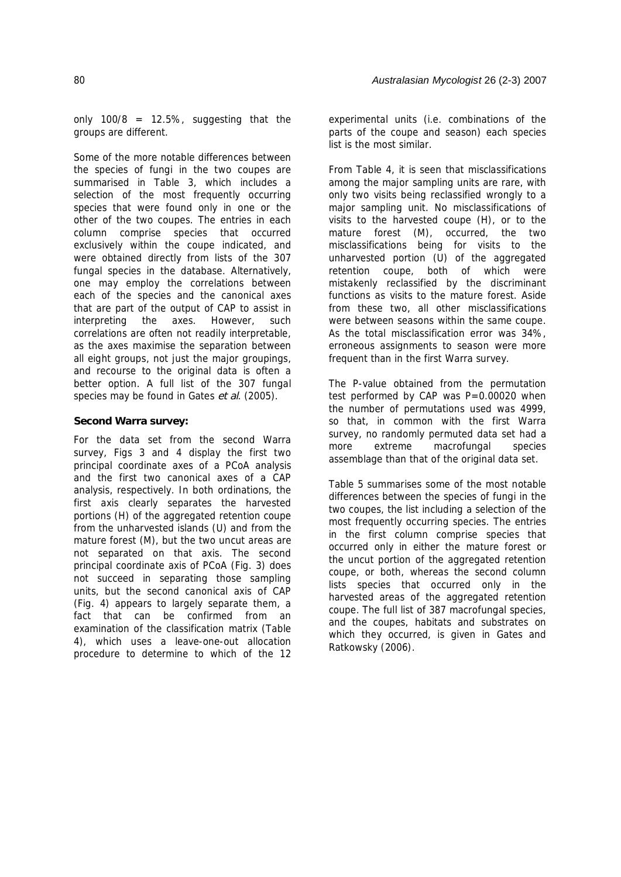only  $100/8 = 12.5\%$ , suggesting that the groups are different.

Some of the more notable differences between the species of fungi in the two coupes are summarised in Table 3, which includes a selection of the most frequently occurring species that were found only in one or the other of the two coupes. The entries in each column comprise species that occurred exclusively within the coupe indicated, and were obtained directly from lists of the 307 fungal species in the database. Alternatively, one may employ the correlations between each of the species and the canonical axes that are part of the output of CAP to assist in interpreting the axes. However, such correlations are often not readily interpretable, as the axes maximise the separation between all eight groups, not just the major groupings, and recourse to the original data is often a better option. A full list of the 307 fungal species may be found in Gates et al. (2005).

## **Second Warra survey:**

For the data set from the second Warra survey, Figs 3 and 4 display the first two principal coordinate axes of a PCoA analysis and the first two canonical axes of a CAP analysis, respectively. In both ordinations, the first axis clearly separates the harvested portions (H) of the aggregated retention coupe from the unharvested islands (U) and from the mature forest (M), but the two uncut areas are not separated on that axis. The second principal coordinate axis of PCoA (Fig. 3) does not succeed in separating those sampling units, but the second canonical axis of CAP (Fig. 4) appears to largely separate them, a fact that can be confirmed from an examination of the classification matrix (Table 4), which uses a leave-one-out allocation procedure to determine to which of the 12

experimental units (i.e. combinations of the parts of the coupe and season) each species list is the most similar.

From Table 4, it is seen that misclassifications among the major sampling units are rare, with only two visits being reclassified wrongly to a major sampling unit. No misclassifications of visits to the harvested coupe (H), or to the mature forest (M), occurred, the two misclassifications being for visits to the unharvested portion (U) of the aggregated retention coupe, both of which were mistakenly reclassified by the discriminant functions as visits to the mature forest. Aside from these two, all other misclassifications were between seasons within the same coupe. As the total misclassification error was 34%, erroneous assignments to season were more frequent than in the first Warra survey.

The P-value obtained from the permutation test performed by CAP was  $P=0.00020$  when the number of permutations used was 4999, so that, in common with the first Warra survey, no randomly permuted data set had a more extreme macrofungal species assemblage than that of the original data set.

Table 5 summarises some of the most notable differences between the species of fungi in the two coupes, the list including a selection of the most frequently occurring species. The entries in the first column comprise species that occurred only in either the mature forest or the uncut portion of the aggregated retention coupe, or both, whereas the second column lists species that occurred only in the harvested areas of the aggregated retention coupe. The full list of 387 macrofungal species, and the coupes, habitats and substrates on which they occurred, is given in Gates and Ratkowsky (2006).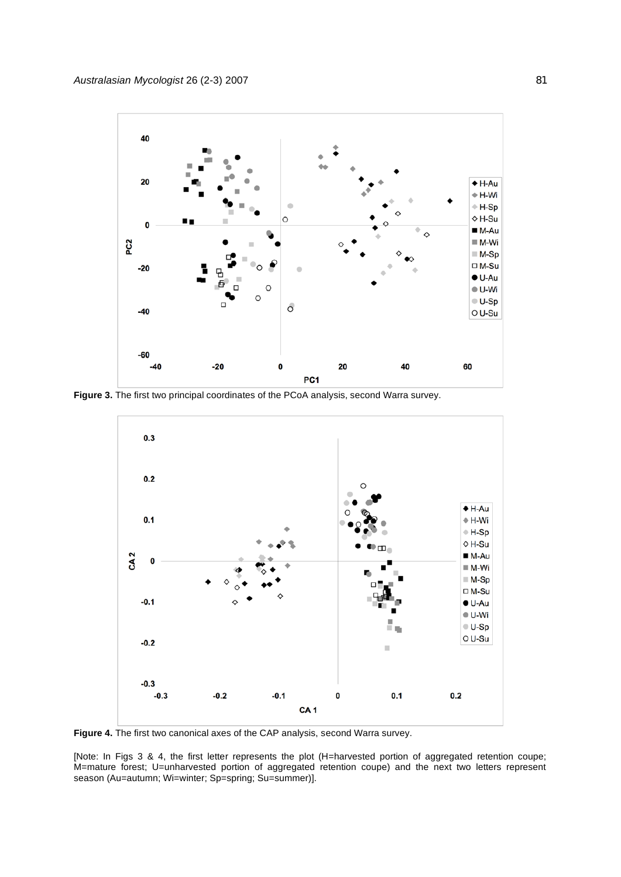

**Figure 3.** The first two principal coordinates of the PCoA analysis, second Warra survey.



**Figure 4.** The first two canonical axes of the CAP analysis, second Warra survey.

[Note: In Figs 3 & 4, the first letter represents the plot (H=harvested portion of aggregated retention coupe; M=mature forest; U=unharvested portion of aggregated retention coupe) and the next two letters represent season (Au=autumn; Wi=winter; Sp=spring; Su=summer)].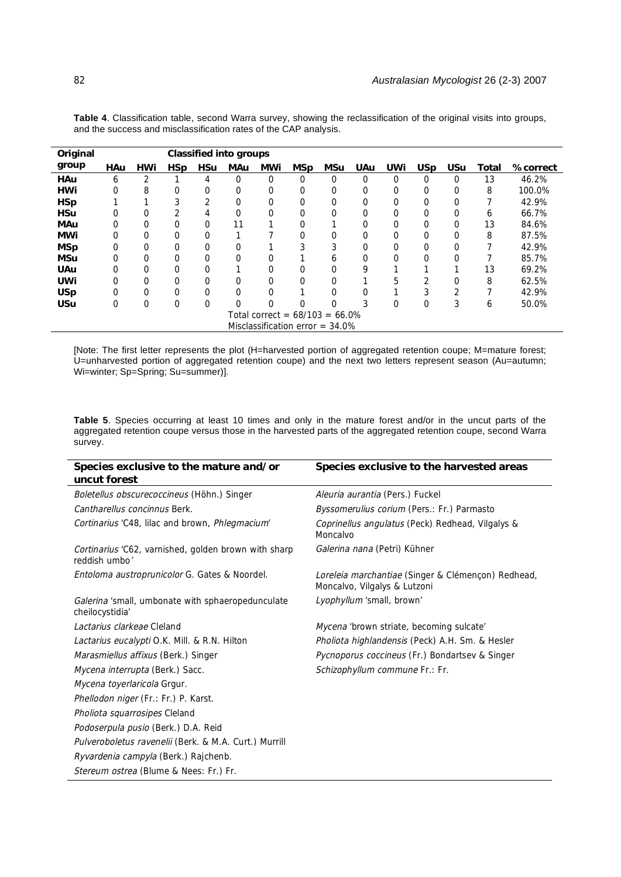| Original                          |            | <b>Classified into groups</b> |            |             |            |                                    |            |          |            |             |             |                |       |                 |
|-----------------------------------|------------|-------------------------------|------------|-------------|------------|------------------------------------|------------|----------|------------|-------------|-------------|----------------|-------|-----------------|
| group                             | <b>HAu</b> | <b>HWi</b>                    | <b>HSp</b> | <b>HSu</b>  | <b>MAu</b> | <b>MWi</b>                         | <b>MSp</b> | MSu      | <b>UAu</b> | <b>UWi</b>  | <b>USp</b>  | <b>USu</b>     | Total | <b>%correct</b> |
| <b>HAu</b>                        | 6          | 2                             |            | 4           | 0          | 0                                  | 0          | 0        | $\Omega$   | $\Omega$    | $\Omega$    | 0              | 13    | 46.2%           |
| <b>HWi</b>                        | $\Omega$   | 8                             | 0          | 0           | 0          | 0                                  | 0          | 0        | 0          | 0           | $\Omega$    | 0              | 8     | 100.0%          |
| <b>HSp</b>                        |            |                               | 3          | 2           | 0          | 0                                  | 0          | 0        | $\Omega$   | 0           | $\Omega$    | 0              |       | 42.9%           |
| <b>HSu</b>                        | 0          | $\Omega$                      | 2          | 4           | 0          | 0                                  | 0          | 0        | 0          | $\mathbf 0$ | $\Omega$    | 0              | 6     | 66.7%           |
| <b>MAu</b>                        | 0          | 0                             | $\Omega$   | $\Omega$    | 11         |                                    | 0          |          | $\Omega$   | 0           | $\Omega$    | 0              | 13    | 84.6%           |
| MWi                               | 0          | $\mathbf 0$                   | 0          | 0           |            |                                    | 0          | 0        | 0          | $\mathbf 0$ | $\mathbf 0$ | 0              | 8     | 87.5%           |
| <b>MSp</b>                        | 0          | $\mathbf 0$                   | 0          | 0           | 0          |                                    | 3          | 3        | 0          | 0           | 0           | 0              |       | 42.9%           |
| <b>MSu</b>                        | 0          | $\Omega$                      | 0          | 0           | 0          | 0                                  |            | 6        | 0          | $\Omega$    | $\Omega$    | 0              |       | 85.7%           |
| <b>UAu</b>                        | 0          | 0                             | $\Omega$   | $\Omega$    |            | 0                                  | 0          | 0        | 9          |             |             |                | 13    | 69.2%           |
| <b>UWi</b>                        | 0          | 0                             | 0          | 0           | 0          | 0                                  | 0          | 0        |            | 5           | 2           | 0              | 8     | 62.5%           |
| <b>USp</b>                        | 0          | $\mathbf 0$                   | 0          | 0           | $\Omega$   | 0                                  |            | 0        | $\Omega$   |             | c<br>3      | $\overline{2}$ |       | 42.9%           |
| <b>USu</b>                        | $\Omega$   | $\Omega$                      | 0          | $\mathbf 0$ | $\Omega$   | 0                                  | 0          | $\Omega$ | 3          | $\Omega$    | $\Omega$    | 3              | 6     | 50.0%           |
| Total correct = $68/103 = 66.0\%$ |            |                               |            |             |            |                                    |            |          |            |             |             |                |       |                 |
|                                   |            |                               |            |             |            | Misclassification error = $34.0\%$ |            |          |            |             |             |                |       |                 |

**Table 4**. Classification table, second Warra survey, showing the reclassification of the original visits into groups, and the success and misclassification rates of the CAP analysis.

[Note: The first letter represents the plot (H=harvested portion of aggregated retention coupe; M=mature forest; U=unharvested portion of aggregated retention coupe) and the next two letters represent season (Au=autumn; Wi=winter; Sp=Spring; Su=summer)].

**Table 5**. Species occurring at least 10 times and only in the mature forest and/or in the uncut parts of the aggregated retention coupe versus those in the harvested parts of the aggregated retention coupe, second Warra survey.

| Species exclusive to the mature and/or                                | Species exclusive to the harvested areas                                           |  |  |  |  |  |  |
|-----------------------------------------------------------------------|------------------------------------------------------------------------------------|--|--|--|--|--|--|
| uncut forest                                                          |                                                                                    |  |  |  |  |  |  |
| Boletellus obscurecoccineus (Höhn.) Singer                            | Aleuria aurantia (Pers.) Fuckel                                                    |  |  |  |  |  |  |
| Cantharellus concinnus Berk.                                          | Byssomerulius corium (Pers.: Fr.) Parmasto                                         |  |  |  |  |  |  |
| Cortinarius 'C48, lilac and brown, Phlegmacium'                       | Coprinellus angulatus (Peck) Redhead, Vilgalys &<br>Moncalvo                       |  |  |  |  |  |  |
| Cortinarius 'C62, varnished, golden brown with sharp<br>reddish umbo' | Galerina nana (Petri) Kühner                                                       |  |  |  |  |  |  |
| Entoloma austroprunicolor G. Gates & Noordel.                         | Loreleia marchantiae (Singer & Clémençon) Redhead,<br>Moncalvo, Vilgalys & Lutzoni |  |  |  |  |  |  |
| Galerina 'small, umbonate with sphaeropedunculate<br>cheilocystidia'  | Lyophyllum 'small, brown'                                                          |  |  |  |  |  |  |
| Lactarius clarkeae Cleland                                            | Mycena 'brown striate, becoming sulcate'                                           |  |  |  |  |  |  |
| Lactarius eucalypti O.K. Mill. & R.N. Hilton                          | Pholiota highlandensis (Peck) A.H. Sm. & Hesler                                    |  |  |  |  |  |  |
| Marasmiellus affixus (Berk.) Singer                                   | Pycnoporus coccineus (Fr.) Bondartsev & Singer                                     |  |  |  |  |  |  |
| Mycena interrupta (Berk.) Sacc.                                       | Schizophyllum commune Fr.: Fr.                                                     |  |  |  |  |  |  |
| Mycena toyerlaricola Grgur.                                           |                                                                                    |  |  |  |  |  |  |
| Phellodon niger (Fr.: Fr.) P. Karst.                                  |                                                                                    |  |  |  |  |  |  |
| Pholiota squarrosipes Cleland                                         |                                                                                    |  |  |  |  |  |  |
| Podoserpula pusio (Berk.) D.A. Reid                                   |                                                                                    |  |  |  |  |  |  |
| Pulveroboletus ravenelii (Berk. & M.A. Curt.) Murrill                 |                                                                                    |  |  |  |  |  |  |
| Ryvardenia campyla (Berk.) Rajchenb.                                  |                                                                                    |  |  |  |  |  |  |
| Stereum ostrea (Blume & Nees: Fr.) Fr.                                |                                                                                    |  |  |  |  |  |  |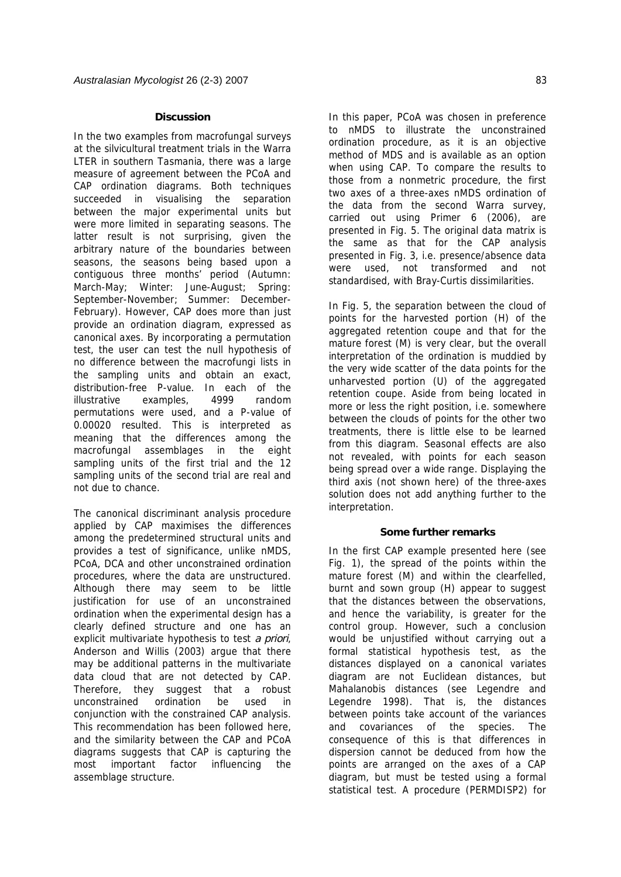### **Discussion**

In the two examples from macrofungal surveys at the silvicultural treatment trials in the Warra LTER in southern Tasmania, there was a large measure of agreement between the PCoA and CAP ordination diagrams. Both techniques succeeded in visualising the separation between the major experimental units but were more limited in separating seasons. The latter result is not surprising, given the arbitrary nature of the boundaries between seasons, the seasons being based upon a contiguous three months' period (Autumn: March-May; Winter: June-August; Spring: September-November; Summer: December-February). However, CAP does more than just provide an ordination diagram, expressed as canonical axes. By incorporating a permutation test, the user can test the null hypothesis of no difference between the macrofungi lists in the sampling units and obtain an exact, distribution-free P-value. In each of the illustrative examples, 4999 random permutations were used, and a P-value of 0.00020 resulted. This is interpreted as meaning that the differences among the macrofungal assemblages in the eight sampling units of the first trial and the 12 sampling units of the second trial are real and not due to chance.

The canonical discriminant analysis procedure applied by CAP maximises the differences among the predetermined structural units and provides a test of significance, unlike nMDS, PCoA, DCA and other unconstrained ordination procedures, where the data are unstructured. Although there may seem to be little justification for use of an unconstrained ordination when the experimental design has a clearly defined structure and one has an explicit multivariate hypothesis to test a priori, Anderson and Willis (2003) argue that there may be additional patterns in the multivariate data cloud that are not detected by CAP. Therefore, they suggest that a robust unconstrained ordination be used in conjunction with the constrained CAP analysis. This recommendation has been followed here, and the similarity between the CAP and PCoA diagrams suggests that CAP is capturing the most important factor influencing the assemblage structure.

In this paper, PCoA was chosen in preference to nMDS to illustrate the unconstrained ordination procedure, as it is an objective method of MDS and is available as an option when using CAP. To compare the results to those from a nonmetric procedure, the first two axes of a three-axes nMDS ordination of the data from the second Warra survey, carried out using Primer 6 (2006), are presented in Fig. 5. The original data matrix is the same as that for the CAP analysis presented in Fig. 3, i.e. presence/absence data were used, not transformed and not standardised, with Bray-Curtis dissimilarities.

In Fig. 5, the separation between the cloud of points for the harvested portion (H) of the aggregated retention coupe and that for the mature forest (M) is very clear, but the overall interpretation of the ordination is muddied by the very wide scatter of the data points for the unharvested portion (U) of the aggregated retention coupe. Aside from being located in more or less the right position, i.e. somewhere between the clouds of points for the other two treatments, there is little else to be learned from this diagram. Seasonal effects are also not revealed, with points for each season being spread over a wide range. Displaying the third axis (not shown here) of the three-axes solution does not add anything further to the interpretation.

## **Some further remarks**

In the first CAP example presented here (see Fig. 1), the spread of the points within the mature forest (M) and within the clearfelled, burnt and sown group (H) appear to suggest that the distances between the observations, and hence the variability, is greater for the control group. However, such a conclusion would be unjustified without carrying out a formal statistical hypothesis test, as the distances displayed on a canonical variates diagram are not Euclidean distances, but Mahalanobis distances (see Legendre and Legendre 1998). That is, the distances between points take account of the variances and covariances of the species. The consequence of this is that differences in dispersion cannot be deduced from how the points are arranged on the axes of a CAP diagram, but must be tested using a formal statistical test. A procedure (PERMDISP2) for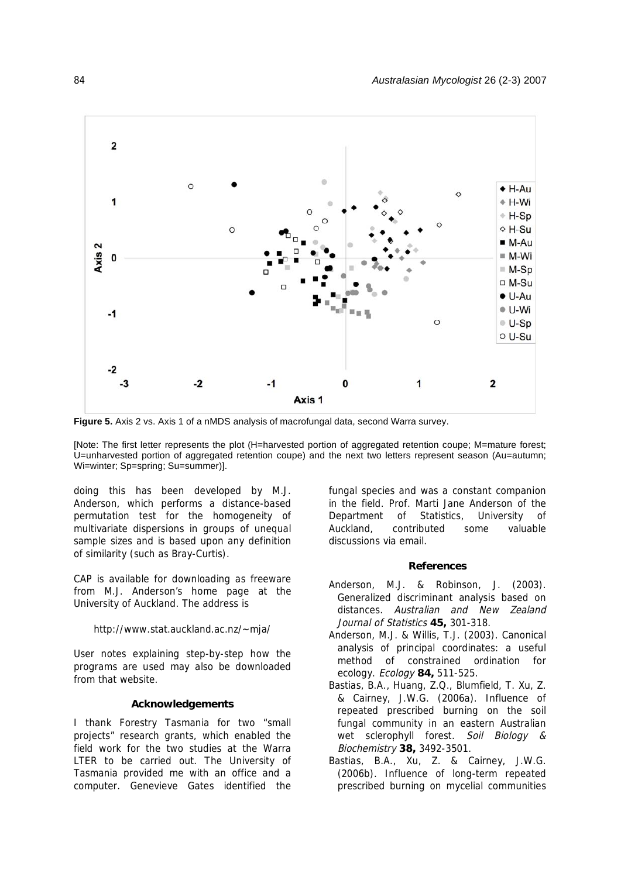

**Figure 5.** Axis 2 vs. Axis 1 of a nMDS analysis of macrofungal data, second Warra survey.

[Note: The first letter represents the plot (H=harvested portion of aggregated retention coupe; M=mature forest; U=unharvested portion of aggregated retention coupe) and the next two letters represent season (Au=autumn; Wi=winter; Sp=spring; Su=summer)].

doing this has been developed by M.J. Anderson, which performs a distance-based permutation test for the homogeneity of multivariate dispersions in groups of unequal sample sizes and is based upon any definition of similarity (such as Bray-Curtis).

CAP is available for downloading as freeware from M.J. Anderson's home page at the University of Auckland. The address is

#### http://www.stat.auckland.ac.nz/~mja/

User notes explaining step-by-step how the programs are used may also be downloaded from that website.

### **Acknowledgements**

I thank Forestry Tasmania for two "small projects" research grants, which enabled the field work for the two studies at the Warra LTER to be carried out. The University of Tasmania provided me with an office and a computer. Genevieve Gates identified the

fungal species and was a constant companion in the field. Prof. Marti Jane Anderson of the Department of Statistics, University of Auckland, contributed some valuable discussions via email.

#### **References**

- Anderson, M.J. & Robinson, J. (2003). Generalized discriminant analysis based on distances. Australian and New Zealand Journal of Statistics **45,** 301-318.
- Anderson, M.J. & Willis, T.J. (2003). Canonical analysis of principal coordinates: a useful method of constrained ordination for ecology. Ecology **84,** 511-525.
- Bastias, B.A., Huang, Z.Q., Blumfield, T. Xu, Z. & Cairney, J.W.G. (2006a). Influence of repeated prescribed burning on the soil fungal community in an eastern Australian wet sclerophyll forest. Soil Biology & Biochemistry **38,** 3492-3501.
- Bastias, B.A., Xu, Z. & Cairney, J.W.G. (2006b). Influence of long-term repeated prescribed burning on mycelial communities